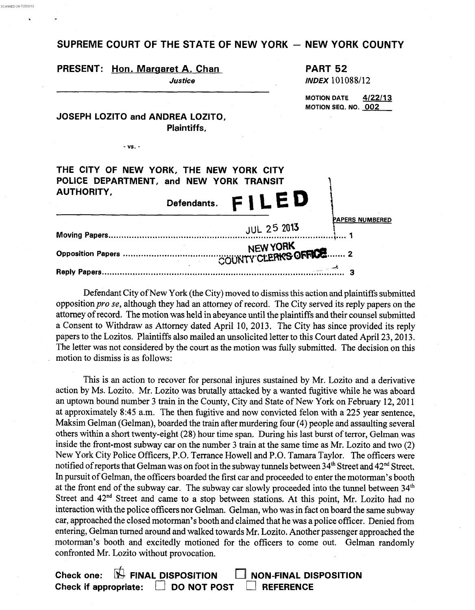## SUPREME COURT OF THE STATE OF NEW YORK - NEW YORK COUNTY

SCANNED ON 712512013

|                   | PRESENT: Hon. Margaret A. Chan<br>Justice                                                         |                    | <b>PART 52</b><br><b>INDEX 101088/12</b>             |
|-------------------|---------------------------------------------------------------------------------------------------|--------------------|------------------------------------------------------|
|                   | JOSEPH LOZITO and ANDREA LOZITO,<br><b>Plaintiffs,</b>                                            |                    | 4/22/13<br><b>MOTION DATE</b><br>MOTION SEQ. NO. 002 |
| - vs. -           |                                                                                                   |                    |                                                      |
| <b>AUTHORITY,</b> | THE CITY OF NEW YORK, THE NEW YORK CITY<br>POLICE DEPARTMENT, and NEW YORK TRANSIT<br>Defendants. | FILED              |                                                      |
|                   |                                                                                                   | <b>JUL 25 2013</b> | PAPERS NUMBERED                                      |
|                   |                                                                                                   |                    |                                                      |
|                   |                                                                                                   |                    |                                                      |

Defendant City of New York (the City) moved to dismiss this action and plaintiffs submitted opposition *pro se,* although they had an attorney of record. The City served its reply papers on the attorney of record. The motion was held in abeyance until the plaintiffs and their counsel submitted a Consent to Withdraw as Attorney dated April 10, 2013. The City has since provided its reply papers to the Lozitos. Plaintiffs also mailed an unsolicited letter to this Court dated April 23, 2013. The letter was not considered by the court as the motion was fully submitted. The decision on this motion to dismiss is as follows:

This is an action to recover for personal injures sustained by Mr. Lozito and a derivative action by Ms. Lozito. **Mr.** Lozito was brutally attacked by a wanted hgitive while he was aboard an uptown bound number 3 train in the County, City and State of New York on February 12, 2011 at approximately 8:45 a.m. The then fugitive and now convicted felon with a **225** year sentence, Maksim Gelman (Gelman), boarded the train after murdering four (4) people and assaulting several others within a short twenty-eight **(28)** hour time span. During his last burst of terror, Gelman was inside the front-most subway car on the number 3 train at the same time as Mr. Lozito and two (2) New York City Police Officers, P.O. Terrance Howell and P.O. Tamara Taylor. The officers were notified of reports that Gelman was on foot in the subway tunnels between 34<sup>th</sup> Street and 42<sup>nd</sup> Street. In pursuit of Gelman, the officers boarded the first car and proceeded to enter the motorman's booth at the front end of the subway car. The subway car slowly proceeded into the tunnel between 34<sup>th</sup> Street and  $42<sup>nd</sup>$  Street and came to a stop between stations. At this point, Mr. Lozito had no interaction with the police officers nor Gelman. Gelman, who was in fact on board the same subway car, approached the closed motorman's booth and claimed that he was a police officer. Denied from entering, Gelman turned around and walked towards Mr. Lozito. Another passenger approached the motorman's booth and excitedly motioned for the officers to come out. Gelman randomly confronted Mr. Lozito without provocation.

Check one:  $\overline{M}$  **FINAL DISPOSITION NON-FINAL DISPOSITION Check if appropriate:** [3 **DO NOT POST** *0* **REFERENCE**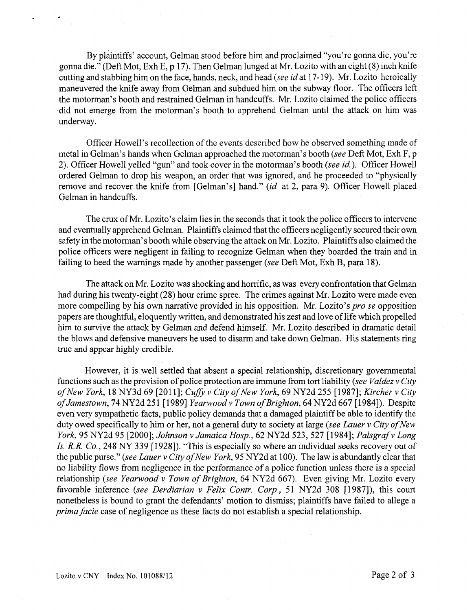By plaintiffs' account, Gelman stood before him and proclaimed "you're gonna die, you're gonna die." (Deft Mot, Exh E, p 17). Then Gelman lunged at Mr. Lozito with an eight (8) inch knife cutting and stabbing him on the face, hands, neck, and head *(see id* at 17-19). Mr. Lozito heroically maneuvered the knife away from Gelman and subdued him on the subway floor. The officers left the motorman's booth and restrained Gelman in handcuffs. Mr. Lozito claimed the police officers did not emerge from the motorman's booth to apprehend Gelman until the attack on him was underway.

Officer Howell's recollection of the events described how he observed something made of metal in Gelman's hands when Gelman approached the motorman's booth *(see* Deft Mot, Exh F, **p**  2). Officer Howell yelled "gun" and took cover in the motorman's booth (see *id).* Officer Howell ordered Gelman to drop his weapon, an order that was ignored, and he proceeded to "physically remove and recover the knife from [Gelman's] hand." *(id.* at 2, para 9). Officer Howell placed Gelman in handcuffs.

The crux of Mr. Lozito's claim lies in the seconds that it took the police officers to intervene and eventually apprehend Gelman. Plaintiffs claimed that the officers negligently secured their own safety in the motorman's booth while observing the attack on Mr. Lozito. Plaintiffs also claimed the police officers were negligent in failing to recognize Gelman when they boarded the train and in failing to heed the warnings made by another passenger *(see* Deft Mot, Exh B, para 18).

The attack on Mr. Lozito was shocking and horrific, as was every confrontation that Gelman had during his twenty-eight (28) hour crime spree. The crimes against Mr. Lozito were made even more compelling by his own narrative provided in his opposition. Mr. Lozito's *pro se* opposition papers are thoughtful, eloquently written, and demonstrated his zest and love of life which propelled him to survive the attack by Gelman and defend himself. Mr. Lozito described in dramatic detail the blows and defensive maneuvers he used to disarm and take down Gelman. His statements ring true and appear highly credible.

However, it is well settled that absent a special relationship, discretionary governmental functions such as the provision of police protection are immune from tort liability *(see Valdez* v *City of New York,* 18 NY3d 69 [2011]; *CufJL* v *City ofNew York,* 69 NY2d 255 [1987]; *Kircher* v *City of Jamestown,* 74 NY2d 25 1 [ 19891 *Yearwood* v *Town of Brighton,* 64 NY2d 667 [ 19841). Despite even very sympathetic facts, public policy demands that a damaged plaintiff be able to identify the duty owed specifically to him or her, not a general duty to society at large *(see Lauer v City of New York,* 95 NY2d 95 [2000]; *Johnson* v *Jamaica Hosp.,* 62 NY2d 523,527 [1984]; *Palsgraf* v *Long Is. R.R. Co.*, 248 NY 339 [1928]). "This is especially so where an individual seeks recovery out of the public purse." *(see Lauer* v *City of New York,* 95 NY2d at 100). The law is abundantly clear that no liability flows from negligence in the performance of a police function unless there is a special relationship *(see Yearwood* v *Town of Brighton,* 64 NY2d 667). Even giving Mr. Lozito every favorable inference (see *Derdiarian* v *Felix Contr. Corp.,* 51 NY2d 308 [1987]), this court nonetheless is bound to grant the defendants' motion to dismiss; plaintiffs have failed to allege a *prima facie* case of negligence as these facts do not establish a special relationship.